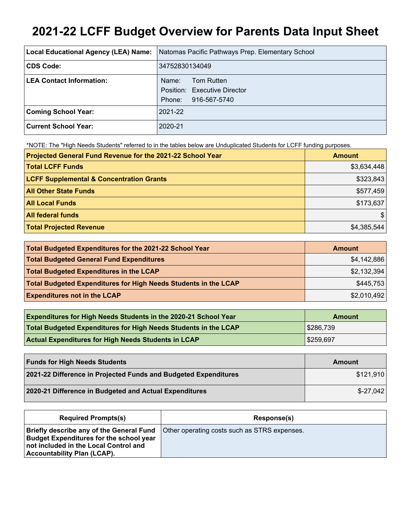# **2021-22 LCFF Budget Overview for Parents Data Input Sheet**

| Local Educational Agency (LEA) Name: | Natomas Pacific Pathways Prep. Elementary School                              |
|--------------------------------------|-------------------------------------------------------------------------------|
| CDS Code:                            | 34752830134049                                                                |
| <b>LEA Contact Information:</b>      | Tom Rutten<br>Name:<br>Position: Executive Director<br>916-567-5740<br>Phone: |
| <b>Coming School Year:</b>           | 2021-22                                                                       |
| <b>Current School Year:</b>          | 2020-21                                                                       |

\*NOTE: The "High Needs Students" referred to in the tables below are Unduplicated Students for LCFF funding purposes.

| Projected General Fund Revenue for the 2021-22 School Year | <b>Amount</b> |
|------------------------------------------------------------|---------------|
| <b>Total LCFF Funds</b>                                    | \$3,634,448   |
| <b>LCFF Supplemental &amp; Concentration Grants</b>        | \$323,843     |
| <b>All Other State Funds</b>                               | \$577,459     |
| <b>All Local Funds</b>                                     | \$173,637     |
| <b>All federal funds</b>                                   | \$            |
| <b>Total Projected Revenue</b>                             | \$4,385,544   |

| Total Budgeted Expenditures for the 2021-22 School Year         | Amount      |
|-----------------------------------------------------------------|-------------|
| <b>Total Budgeted General Fund Expenditures</b>                 | \$4,142,886 |
| <b>Total Budgeted Expenditures in the LCAP</b>                  | \$2,132,394 |
| Total Budgeted Expenditures for High Needs Students in the LCAP | \$445,753   |
| <b>Expenditures not in the LCAP</b>                             | \$2,010,492 |

| <b>Expenditures for High Needs Students in the 2020-21 School Year</b> | Amount    |
|------------------------------------------------------------------------|-----------|
| Total Budgeted Expenditures for High Needs Students in the LCAP        | \$286,739 |
| <b>Actual Expenditures for High Needs Students in LCAP</b>             | \$259,697 |

| <b>Funds for High Needs Students</b>                            | Amount     |
|-----------------------------------------------------------------|------------|
| 2021-22 Difference in Projected Funds and Budgeted Expenditures | \$121,910  |
| 2020-21 Difference in Budgeted and Actual Expenditures          | $$-27,042$ |

| <b>Required Prompts(s)</b>                                                                                                                                         | Response(s)                                  |
|--------------------------------------------------------------------------------------------------------------------------------------------------------------------|----------------------------------------------|
| Briefly describe any of the General Fund<br><b>Budget Expenditures for the school year</b><br>not included in the Local Control and<br>Accountability Plan (LCAP). | Other operating costs such as STRS expenses. |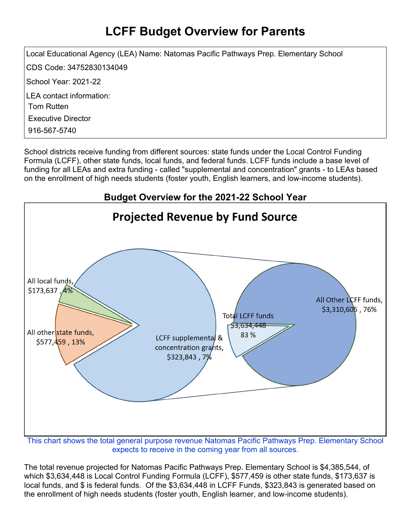## **LCFF Budget Overview for Parents**

Local Educational Agency (LEA) Name: Natomas Pacific Pathways Prep. Elementary School CDS Code: 34752830134049 School Year: 2021-22 LEA contact information: Tom Rutten Executive Director 916-567-5740

School districts receive funding from different sources: state funds under the Local Control Funding Formula (LCFF), other state funds, local funds, and federal funds. LCFF funds include a base level of funding for all LEAs and extra funding - called "supplemental and concentration" grants - to LEAs based on the enrollment of high needs students (foster youth, English learners, and low-income students).



This chart shows the total general purpose revenue Natomas Pacific Pathways Prep. Elementary School expects to receive in the coming year from all sources.

The total revenue projected for Natomas Pacific Pathways Prep. Elementary School is \$4,385,544, of which \$3,634,448 is Local Control Funding Formula (LCFF), \$577,459 is other state funds, \$173,637 is local funds, and \$ is federal funds. Of the \$3,634,448 in LCFF Funds, \$323,843 is generated based on the enrollment of high needs students (foster youth, English learner, and low-income students).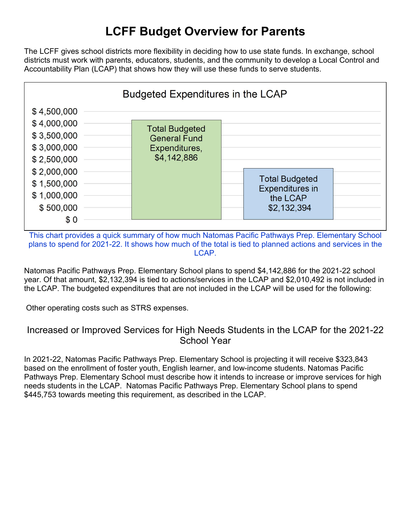### **LCFF Budget Overview for Parents**

The LCFF gives school districts more flexibility in deciding how to use state funds. In exchange, school districts must work with parents, educators, students, and the community to develop a Local Control and Accountability Plan (LCAP) that shows how they will use these funds to serve students.



This chart provides a quick summary of how much Natomas Pacific Pathways Prep. Elementary School plans to spend for 2021-22. It shows how much of the total is tied to planned actions and services in the LCAP.

Natomas Pacific Pathways Prep. Elementary School plans to spend \$4,142,886 for the 2021-22 school year. Of that amount, \$2,132,394 is tied to actions/services in the LCAP and \$2,010,492 is not included in the LCAP. The budgeted expenditures that are not included in the LCAP will be used for the following:

Other operating costs such as STRS expenses.

#### Increased or Improved Services for High Needs Students in the LCAP for the 2021-22 School Year

In 2021-22, Natomas Pacific Pathways Prep. Elementary School is projecting it will receive \$323,843 based on the enrollment of foster youth, English learner, and low-income students. Natomas Pacific Pathways Prep. Elementary School must describe how it intends to increase or improve services for high needs students in the LCAP. Natomas Pacific Pathways Prep. Elementary School plans to spend \$445,753 towards meeting this requirement, as described in the LCAP.